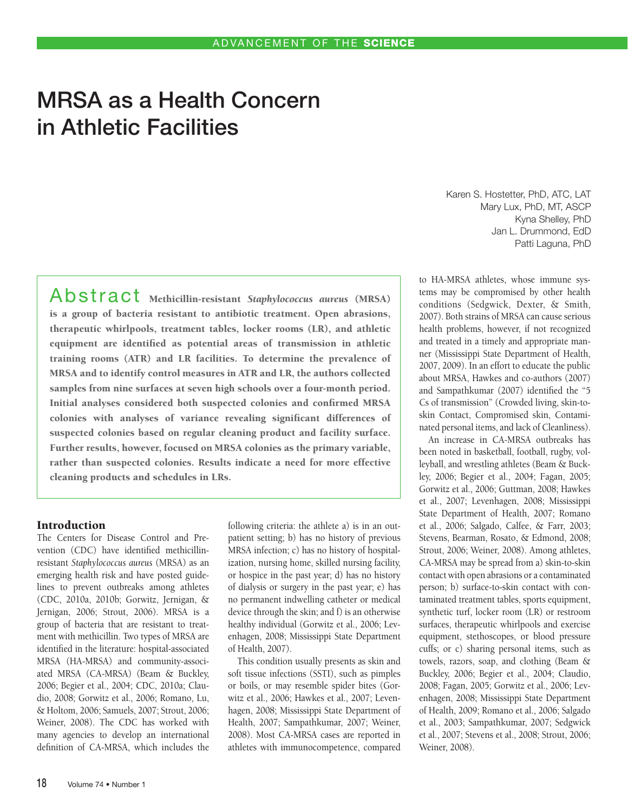# MRSA as a Health Concern in Athletic Facilities

 $A$ bstract Methicillin-resistant *Staphylococcus aureus* (MRSA) is a group of bacteria resistant to antibiotic treatment. Open abrasions, therapeutic whirlpools, treatment tables, locker rooms (LR), and athletic equipment are identified as potential areas of transmission in athletic training rooms (ATR) and LR facilities. To determine the prevalence of MRSA and to identify control measures in ATR and LR, the authors collected samples from nine surfaces at seven high schools over a four-month period. Initial analyses considered both suspected colonies and confirmed MRSA colonies with analyses of variance revealing significant differences of suspected colonies based on regular cleaning product and facility surface. Further results, however, focused on MRSA colonies as the primary variable, rather than suspected colonies. Results indicate a need for more effective cleaning products and schedules in LRs.

# Introduction

The Centers for Disease Control and Prevention (CDC) have identified methicillinresistant *Staphylococcus aureus* (MRSA) as an emerging health risk and have posted guidelines to prevent outbreaks among athletes (CDC, 2010a, 2010b; Gorwitz, Jernigan, & Jernigan, 2006; Strout, 2006). MRSA is a group of bacteria that are resistant to treatment with methicillin. Two types of MRSA are identified in the literature: hospital-associated MRSA (HA-MRSA) and community-associated MRSA (CA-MRSA) (Beam & Buckley, 2006; Begier et al., 2004; CDC, 2010a; Claudio, 2008; Gorwitz et al., 2006; Romano, Lu, & Holtom, 2006; Samuels, 2007; Strout, 2006; Weiner, 2008). The CDC has worked with many agencies to develop an international definition of CA-MRSA, which includes the following criteria: the athlete a) is in an outpatient setting; b) has no history of previous MRSA infection; c) has no history of hospitalization, nursing home, skilled nursing facility, or hospice in the past year; d) has no history of dialysis or surgery in the past year; e) has no permanent indwelling catheter or medical device through the skin; and f) is an otherwise healthy individual (Gorwitz et al., 2006; Levenhagen, 2008; Mississippi State Department of Health, 2007).

This condition usually presents as skin and soft tissue infections (SSTI), such as pimples or boils, or may resemble spider bites (Gorwitz et al., 2006; Hawkes et al., 2007; Levenhagen, 2008; Mississippi State Department of Health, 2007; Sampathkumar, 2007; Weiner, 2008). Most CA-MRSA cases are reported in athletes with immunocompetence, compared

Karen S. Hostetter, PhD, ATC, LAT Mary Lux, PhD, MT, ASCP Kyna Shelley, PhD Jan L. Drummond, EdD Patti Laguna, PhD

to HA-MRSA athletes, whose immune systems may be compromised by other health conditions (Sedgwick, Dexter, & Smith, 2007). Both strains of MRSA can cause serious health problems, however, if not recognized and treated in a timely and appropriate manner (Mississippi State Department of Health, 2007, 2009). In an effort to educate the public about MRSA, Hawkes and co-authors (2007) and Sampathkumar (2007) identified the "5 Cs of transmission" (Crowded living, skin-toskin Contact, Compromised skin, Contaminated personal items, and lack of Cleanliness).

An increase in CA-MRSA outbreaks has been noted in basketball, football, rugby, volleyball, and wrestling athletes (Beam & Buckley, 2006; Begier et al., 2004; Fagan, 2005; Gorwitz et al., 2006; Guttman, 2008; Hawkes et al., 2007; Levenhagen, 2008; Mississippi State Department of Health, 2007; Romano et al., 2006; Salgado, Calfee, & Farr, 2003; Stevens, Bearman, Rosato, & Edmond, 2008; Strout, 2006; Weiner, 2008). Among athletes, CA-MRSA may be spread from a) skin-to-skin contact with open abrasions or a contaminated person; b) surface-to-skin contact with contaminated treatment tables, sports equipment, synthetic turf, locker room (LR) or restroom surfaces, therapeutic whirlpools and exercise equipment, stethoscopes, or blood pressure cuffs; or c) sharing personal items, such as towels, razors, soap, and clothing (Beam & Buckley, 2006; Begier et al., 2004; Claudio, 2008; Fagan, 2005; Gorwitz et al., 2006; Levenhagen, 2008; Mississippi State Department of Health, 2009; Romano et al., 2006; Salgado et al., 2003; Sampathkumar, 2007; Sedgwick et al., 2007; Stevens et al., 2008; Strout, 2006; Weiner, 2008).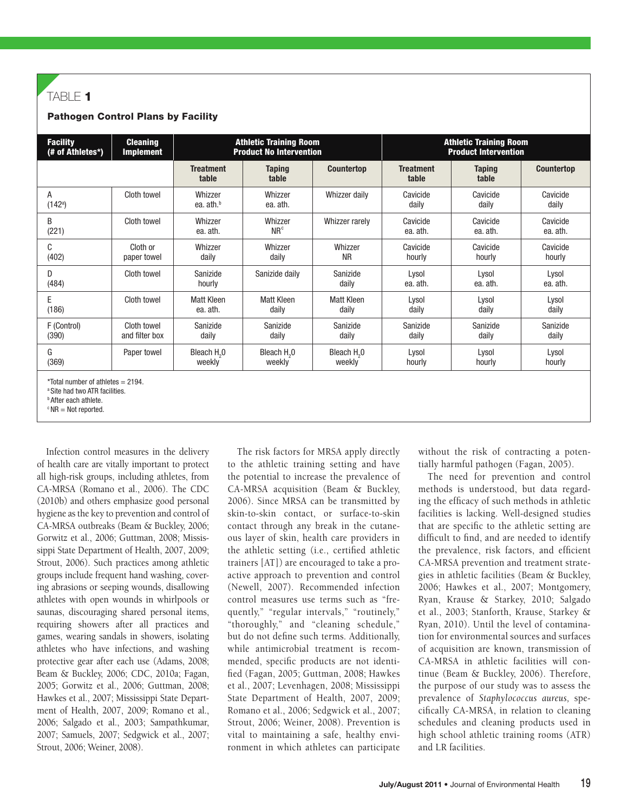# TABLE 1

## Pathogen Control Plans by Facility

| <b>Facility</b>          | <b>Cleaning</b>  | <b>Athletic Training Room</b>    |                            |                         | <b>Athletic Training Room</b> |                        |                      |  |
|--------------------------|------------------|----------------------------------|----------------------------|-------------------------|-------------------------------|------------------------|----------------------|--|
| (# of Athletes*)         | <b>Implement</b> | <b>Product No Intervention</b>   |                            |                         | <b>Product Intervention</b>   |                        |                      |  |
|                          |                  | <b>Treatment</b><br>table        | <b>Taping</b><br>table     | <b>Countertop</b>       | <b>Treatment</b><br>table     | <b>Taping</b><br>table | <b>Countertop</b>    |  |
| А<br>(142 <sup>a</sup> ) | Cloth towel      | Whizzer<br>ea. ath. <sup>b</sup> | Whizzer<br>ea. ath.        | Whizzer daily           | Cavicide<br>daily             | Cavicide<br>daily      | Cavicide<br>daily    |  |
| B<br>(221)               | Cloth towel      | Whizzer<br>ea. ath.              | Whizzer<br>NR <sup>c</sup> | Whizzer rarely          | Cavicide<br>ea. ath.          | Cavicide<br>ea. ath.   | Cavicide<br>ea. ath. |  |
| C                        | Cloth or         | Whizzer                          | Whizzer                    | Whizzer                 | Cavicide                      | Cavicide               | Cavicide             |  |
| (402)                    | paper towel      | daily                            | daily                      | <b>NR</b>               | hourly                        | hourly                 | hourly               |  |
| D<br>(484)               | Cloth towel      | Sanizide<br>hourly               | Sanizide daily             | Sanizide<br>daily       | Lysol<br>ea. ath.             | Lysol<br>ea. ath.      | Lysol<br>ea. ath.    |  |
| E                        | Cloth towel      | <b>Matt Kleen</b>                | Matt Kleen                 | <b>Matt Kleen</b>       | Lysol                         | Lysol                  | Lysol                |  |
| (186)                    |                  | ea. ath.                         | daily                      | daily                   | daily                         | daily                  | daily                |  |
| F (Control)              | Cloth towel      | Sanizide                         | Sanizide                   | Sanizide                | Sanizide                      | Sanizide               | Sanizide             |  |
| (390)                    | and filter box   | daily                            | daily                      | daily                   | daily                         | daily                  | daily                |  |
| G                        | Paper towel      | Bleach H <sub>2</sub> 0          | Bleach H <sub>2</sub> 0    | Bleach H <sub>2</sub> 0 | Lysol                         | Lysol                  | Lysol                |  |
| (369)                    |                  | weekly                           | weekly                     | weekly                  | hourly                        | hourly                 | hourly               |  |
|                          |                  |                                  |                            |                         |                               |                        |                      |  |

 $*$ Total number of athletes = 2194.

<sup>a</sup> Site had two ATR facilities.

**b** After each athlete.  $c$  NR = Not reported.

Infection control measures in the delivery of health care are vitally important to protect all high-risk groups, including athletes, from CA-MRSA (Romano et al., 2006). The CDC (2010b) and others emphasize good personal hygiene as the key to prevention and control of CA-MRSA outbreaks (Beam & Buckley, 2006; Gorwitz et al., 2006; Guttman, 2008; Mississippi State Department of Health, 2007, 2009; Strout, 2006). Such practices among athletic groups include frequent hand washing, covering abrasions or seeping wounds, disallowing athletes with open wounds in whirlpools or saunas, discouraging shared personal items, requiring showers after all practices and games, wearing sandals in showers, isolating athletes who have infections, and washing protective gear after each use (Adams, 2008; Beam & Buckley, 2006; CDC, 2010a; Fagan, 2005; Gorwitz et al., 2006; Guttman, 2008; Hawkes et al., 2007; Mississippi State Department of Health, 2007, 2009; Romano et al., 2006; Salgado et al., 2003; Sampathkumar, 2007; Samuels, 2007; Sedgwick et al., 2007; Strout, 2006; Weiner, 2008).

The risk factors for MRSA apply directly to the athletic training setting and have the potential to increase the prevalence of CA-MRSA acquisition (Beam & Buckley, 2006). Since MRSA can be transmitted by skin-to-skin contact, or surface-to-skin contact through any break in the cutaneous layer of skin, health care providers in the athletic setting (i.e., certified athletic trainers [AT]) are encouraged to take a proactive approach to prevention and control (Newell, 2007). Recommended infection control measures use terms such as "frequently," "regular intervals," "routinely," "thoroughly," and "cleaning schedule," but do not define such terms. Additionally, while antimicrobial treatment is recommended, specific products are not identified (Fagan, 2005; Guttman, 2008; Hawkes et al., 2007; Levenhagen, 2008; Mississippi State Department of Health, 2007, 2009; Romano et al., 2006; Sedgwick et al., 2007; Strout, 2006; Weiner, 2008). Prevention is vital to maintaining a safe, healthy environment in which athletes can participate

without the risk of contracting a potentially harmful pathogen (Fagan, 2005).

The need for prevention and control methods is understood, but data regarding the efficacy of such methods in athletic facilities is lacking. Well-designed studies that are specific to the athletic setting are difficult to find, and are needed to identify the prevalence, risk factors, and efficient CA-MRSA prevention and treatment strategies in athletic facilities (Beam & Buckley, 2006; Hawkes et al., 2007; Montgomery, Ryan, Krause & Starkey, 2010; Salgado et al., 2003; Stanforth, Krause, Starkey & Ryan, 2010). Until the level of contamination for environmental sources and surfaces of acquisition are known, transmission of CA-MRSA in athletic facilities will continue (Beam & Buckley, 2006). Therefore, the purpose of our study was to assess the prevalence of *Staphylococcus aureus,* specifically CA-MRSA, in relation to cleaning schedules and cleaning products used in high school athletic training rooms (ATR) and LR facilities.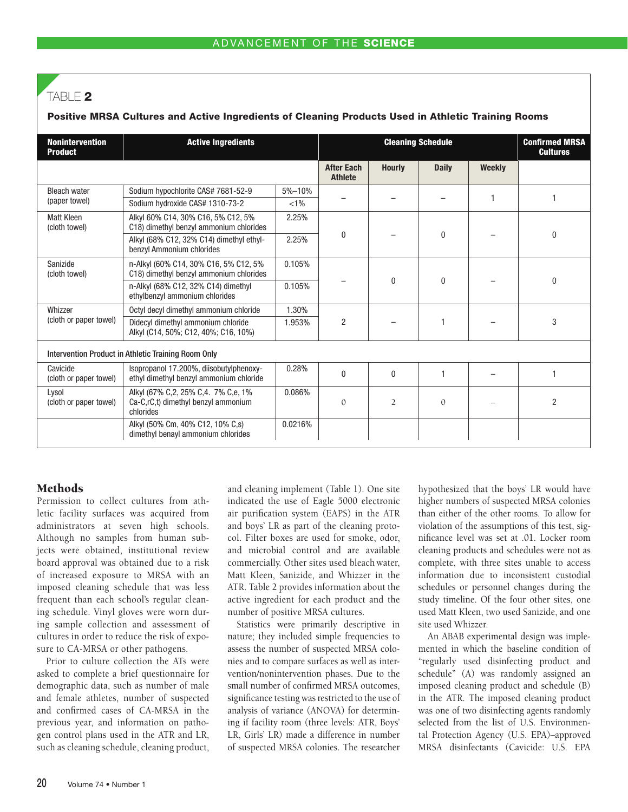# TABLE 2

# Positive MRSA Cultures and Active Ingredients of Cleaning Products Used in Athletic Training Rooms

| <b>Nonintervention</b><br><b>Active Ingredients</b><br><b>Product</b> |                                                                                         |            | <b>Cleaning Schedule</b>            |                |              |        | <b>Confirmed MRSA</b><br><b>Cultures</b> |
|-----------------------------------------------------------------------|-----------------------------------------------------------------------------------------|------------|-------------------------------------|----------------|--------------|--------|------------------------------------------|
|                                                                       |                                                                                         |            | <b>After Each</b><br><b>Athlete</b> | <b>Hourly</b>  | <b>Daily</b> | Weekly |                                          |
| <b>Bleach water</b>                                                   | Sodium hypochlorite CAS# 7681-52-9                                                      | $5% - 10%$ |                                     |                |              | 1      |                                          |
| (paper towel)                                                         | Sodium hydroxide CAS# 1310-73-2                                                         | $< 1\%$    |                                     |                |              |        |                                          |
| <b>Matt Kleen</b><br>(cloth towel)                                    | Alkyl 60% C14, 30% C16, 5% C12, 5%<br>2.25%<br>C18) dimethyl benzyl ammonium chlorides  |            | 0                                   |                | $\mathbf{0}$ |        | $\Omega$                                 |
|                                                                       | 2.25%<br>Alkyl (68% C12, 32% C14) dimethyl ethyl-<br>benzyl Ammonium chlorides          |            |                                     |                |              |        |                                          |
| Sanizide<br>(cloth towel)                                             | n-Alkyl (60% C14, 30% C16, 5% C12, 5%<br>C18) dimethyl benzyl ammonium chlorides        | 0.105%     |                                     | 0              | $\mathbf{0}$ |        | 0                                        |
|                                                                       | n-Alkyl (68% C12, 32% C14) dimethyl<br>ethylbenzyl ammonium chlorides                   | 0.105%     |                                     |                |              |        |                                          |
| Whizzer<br>(cloth or paper towel)                                     | Octyl decyl dimethyl ammonium chloride<br>1.30%                                         |            |                                     |                |              |        |                                          |
|                                                                       | Didecyl dimethyl ammonium chloride<br>Alkyl (C14, 50%; C12, 40%; C16, 10%)              | 1.953%     | $\overline{2}$                      |                |              |        | 3                                        |
|                                                                       | Intervention Product in Athletic Training Room Only                                     |            |                                     |                |              |        |                                          |
| Cavicide<br>(cloth or paper towel)                                    | Isopropanol 17.200%, diisobutylphenoxy-<br>ethyl dimethyl benzyl ammonium chloride      | 0.28%      | $\mathbf{0}$                        | $\mathbf{0}$   |              |        |                                          |
| Lysol<br>(cloth or paper towel)                                       | Alkyl (67% C.2, 25% C.4. 7% C.e. 1%<br>Ca-C,rC,t) dimethyl benzyl ammonium<br>chlorides | 0.086%     | $\mathbf{0}$                        | $\overline{2}$ | $\Omega$     |        | $\overline{2}$                           |
|                                                                       | Alkyl (50% Cm, 40% C12, 10% C, s)<br>dimethyl benayl ammonium chlorides                 | 0.0216%    |                                     |                |              |        |                                          |

# **Methods**

Permission to collect cultures from athletic facility surfaces was acquired from administrators at seven high schools. Although no samples from human subjects were obtained, institutional review board approval was obtained due to a risk of increased exposure to MRSA with an imposed cleaning schedule that was less frequent than each school's regular cleaning schedule. Vinyl gloves were worn during sample collection and assessment of cultures in order to reduce the risk of exposure to CA-MRSA or other pathogens.

Prior to culture collection the ATs were asked to complete a brief questionnaire for demographic data, such as number of male and female athletes, number of suspected and confirmed cases of CA-MRSA in the previous year, and information on pathogen control plans used in the ATR and LR, such as cleaning schedule, cleaning product,

and cleaning implement (Table 1). One site indicated the use of Eagle 5000 electronic air purification system (EAPS) in the ATR and boys' LR as part of the cleaning protocol. Filter boxes are used for smoke, odor, and microbial control and are available commercially. Other sites used bleach water, Matt Kleen, Sanizide, and Whizzer in the ATR. Table 2 provides information about the active ingredient for each product and the number of positive MRSA cultures.

Statistics were primarily descriptive in nature; they included simple frequencies to assess the number of suspected MRSA colonies and to compare surfaces as well as intervention/nonintervention phases. Due to the small number of confirmed MRSA outcomes, significance testing was restricted to the use of analysis of variance (ANOVA) for determining if facility room (three levels: ATR, Boys' LR, Girls' LR) made a difference in number of suspected MRSA colonies. The researcher

hypothesized that the boys' LR would have higher numbers of suspected MRSA colonies than either of the other rooms. To allow for violation of the assumptions of this test, significance level was set at .01. Locker room cleaning products and schedules were not as complete, with three sites unable to access information due to inconsistent custodial schedules or personnel changes during the study timeline. Of the four other sites, one used Matt Kleen, two used Sanizide, and one site used Whizzer.

An ABAB experimental design was implemented in which the baseline condition of "regularly used disinfecting product and schedule" (A) was randomly assigned an imposed cleaning product and schedule (B) in the ATR. The imposed cleaning product was one of two disinfecting agents randomly selected from the list of U.S. Environmental Protection Agency (U.S. EPA)–approved MRSA disinfectants (Cavicide: U.S. EPA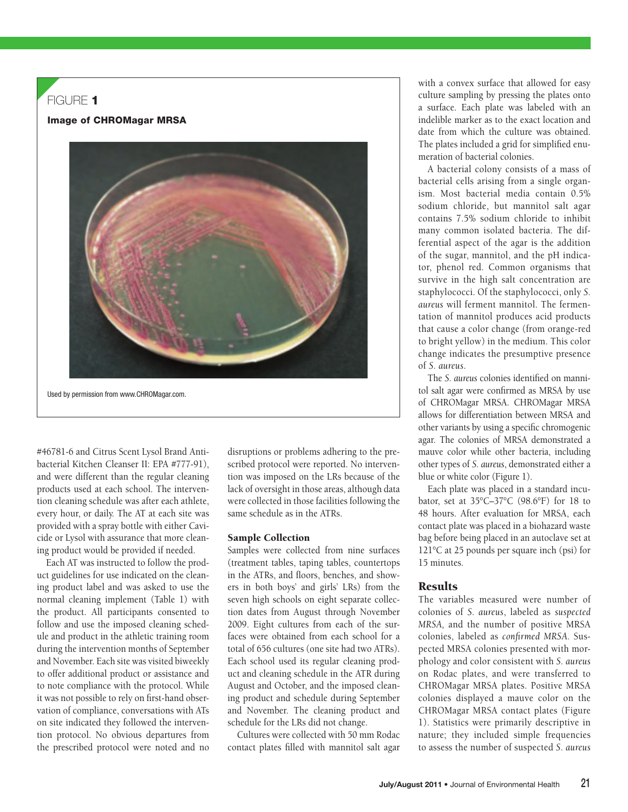# $FIGURF$  1

Image of CHROMagar MRSA



Used by permission from www.CHROMagar.com.

#46781-6 and Citrus Scent Lysol Brand Antibacterial Kitchen Cleanser II: EPA #777-91), and were different than the regular cleaning products used at each school. The intervention cleaning schedule was after each athlete, every hour, or daily. The AT at each site was provided with a spray bottle with either Cavicide or Lysol with assurance that more cleaning product would be provided if needed.

Each AT was instructed to follow the product guidelines for use indicated on the cleaning product label and was asked to use the normal cleaning implement (Table 1) with the product. All participants consented to follow and use the imposed cleaning schedule and product in the athletic training room during the intervention months of September and November. Each site was visited biweekly to offer additional product or assistance and to note compliance with the protocol. While it was not possible to rely on first-hand observation of compliance, conversations with ATs on site indicated they followed the intervention protocol. No obvious departures from the prescribed protocol were noted and no

disruptions or problems adhering to the prescribed protocol were reported. No intervention was imposed on the LRs because of the lack of oversight in those areas, although data were collected in those facilities following the same schedule as in the ATRs.

#### Sample Collection

Samples were collected from nine surfaces (treatment tables, taping tables, countertops in the ATRs, and floors, benches, and showers in both boys' and girls' LRs) from the seven high schools on eight separate collection dates from August through November 2009. Eight cultures from each of the surfaces were obtained from each school for a total of 656 cultures (one site had two ATRs). Each school used its regular cleaning product and cleaning schedule in the ATR during August and October, and the imposed cleaning product and schedule during September and November. The cleaning product and schedule for the LRs did not change.

Cultures were collected with 50 mm Rodac contact plates filled with mannitol salt agar with a convex surface that allowed for easy culture sampling by pressing the plates onto a surface. Each plate was labeled with an indelible marker as to the exact location and date from which the culture was obtained. The plates included a grid for simplified enumeration of bacterial colonies.

A bacterial colony consists of a mass of bacterial cells arising from a single organism. Most bacterial media contain 0.5% sodium chloride, but mannitol salt agar contains 7.5% sodium chloride to inhibit many common isolated bacteria. The differential aspect of the agar is the addition of the sugar, mannitol, and the pH indicator, phenol red. Common organisms that survive in the high salt concentration are staphylococci. Of the staphylococci, only *S. aureus* will ferment mannitol. The fermentation of mannitol produces acid products that cause a color change (from orange-red to bright yellow) in the medium. This color change indicates the presumptive presence of *S. aureus*.

The *S. aureus* colonies identified on mannitol salt agar were confirmed as MRSA by use of CHROMagar MRSA. CHROMagar MRSA allows for differentiation between MRSA and other variants by using a specific chromogenic agar. The colonies of MRSA demonstrated a mauve color while other bacteria, including other types of *S. aureus*, demonstrated either a blue or white color (Figure 1).

Each plate was placed in a standard incubator, set at 35°C–37°C (98.6°F) for 18 to 48 hours. After evaluation for MRSA, each contact plate was placed in a biohazard waste bag before being placed in an autoclave set at 121°C at 25 pounds per square inch (psi) for 15 minutes.

## **Results**

The variables measured were number of colonies of *S. aureus*, labeled as *suspected MRSA,* and the number of positive MRSA colonies, labeled as *confirmed MRSA.* Suspected MRSA colonies presented with morphology and color consistent with *S. aureus* on Rodac plates, and were transferred to CHROMagar MRSA plates. Positive MRSA colonies displayed a mauve color on the CHROMagar MRSA contact plates (Figure 1). Statistics were primarily descriptive in nature; they included simple frequencies to assess the number of suspected *S. aureus*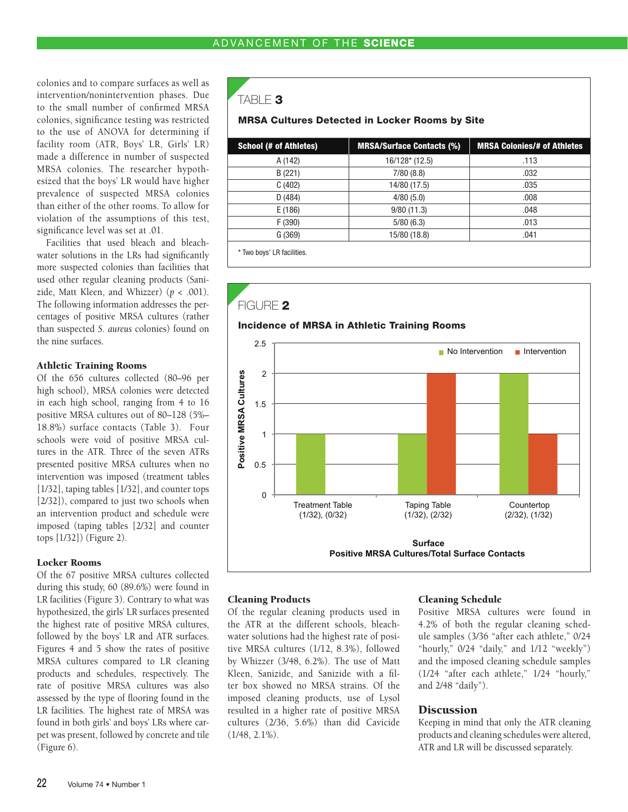colonies and to compare surfaces as well as intervention/nonintervention phases. Due to the small number of confirmed MRSA colonies, significance testing was restricted to the use of ANOVA for determining if facility room (ATR, Boys' LR, Girls' LR) made a difference in number of suspected MRSA colonies. The researcher hypothesized that the boys' LR would have higher prevalence of suspected MRSA colonies than either of the other rooms. To allow for violation of the assumptions of this test, significance level was set at .01.

Facilities that used bleach and bleachwater solutions in the LRs had significantly more suspected colonies than facilities that used other regular cleaning products (Sanizide, Matt Kleen, and Whizzer) (*p* < .001). The following information addresses the percentages of positive MRSA cultures (rather than suspected *S. aureus* colonies) found on the nine surfaces.

### Athletic Training Rooms

Of the 656 cultures collected (80–96 per high school), MRSA colonies were detected in each high school, ranging from 4 to 16 positive MRSA cultures out of 80–128 (5%– 18.8%) surface contacts (Table 3). Four schools were void of positive MRSA cultures in the ATR. Three of the seven ATRs presented positive MRSA cultures when no intervention was imposed (treatment tables [1/32], taping tables [1/32], and counter tops [2/32]), compared to just two schools when an intervention product and schedule were imposed (taping tables [2/32] and counter tops [1/32]) (Figure 2).

#### Locker Rooms

Of the 67 positive MRSA cultures collected during this study, 60 (89.6%) were found in LR facilities (Figure 3). Contrary to what was hypothesized, the girls' LR surfaces presented the highest rate of positive MRSA cultures, followed by the boys' LR and ATR surfaces. Figures 4 and 5 show the rates of positive MRSA cultures compared to LR cleaning products and schedules, respectively. The rate of positive MRSA cultures was also assessed by the type of flooring found in the LR facilities. The highest rate of MRSA was found in both girls' and boys' LRs where carpet was present, followed by concrete and tile (Figure 6).

TABLE 3

#### MRSA Cultures Detected in Locker Rooms by Site

| <b>School (# of Athletes)</b> | <b>MRSA/Surface Contacts (%)</b> | <b>MRSA Colonies/# of Athletes</b> |  |  |  |  |
|-------------------------------|----------------------------------|------------------------------------|--|--|--|--|
| A (142)                       | $16/128*(12.5)$                  | .113                               |  |  |  |  |
| B(221)                        | 7/80(8.8)                        | .032                               |  |  |  |  |
| C(402)                        | 14/80 (17.5)                     | .035                               |  |  |  |  |
| D(484)                        | 4/80(5.0)                        | .008                               |  |  |  |  |
| E(186)                        | 9/80(11.3)                       | .048                               |  |  |  |  |
| F (390)                       | 5/80(6.3)                        | .013                               |  |  |  |  |
| G(369)                        | 15/80 (18.8)                     | .041                               |  |  |  |  |
| * Two boys' LR facilities.    |                                  |                                    |  |  |  |  |



#### Cleaning Products

Of the regular cleaning products used in the ATR at the different schools, bleachwater solutions had the highest rate of positive MRSA cultures (1/12, 8.3%), followed by Whizzer (3/48, 6.2%). The use of Matt Kleen, Sanizide, and Sanizide with a filter box showed no MRSA strains. Of the imposed cleaning products, use of Lysol resulted in a higher rate of positive MRSA cultures (2/36, 5.6%) than did Cavicide (1/48, 2.1%).

#### Cleaning Schedule

Positive MRSA cultures were found in 4.2% of both the regular cleaning schedule samples (3/36 "after each athlete," 0/24 "hourly," 0/24 "daily," and 1/12 "weekly") and the imposed cleaning schedule samples (1/24 "after each athlete," 1/24 "hourly," and 2/48 "daily").

#### **Discussion**

Keeping in mind that only the ATR cleaning products and cleaning schedules were altered, ATR and LR will be discussed separately.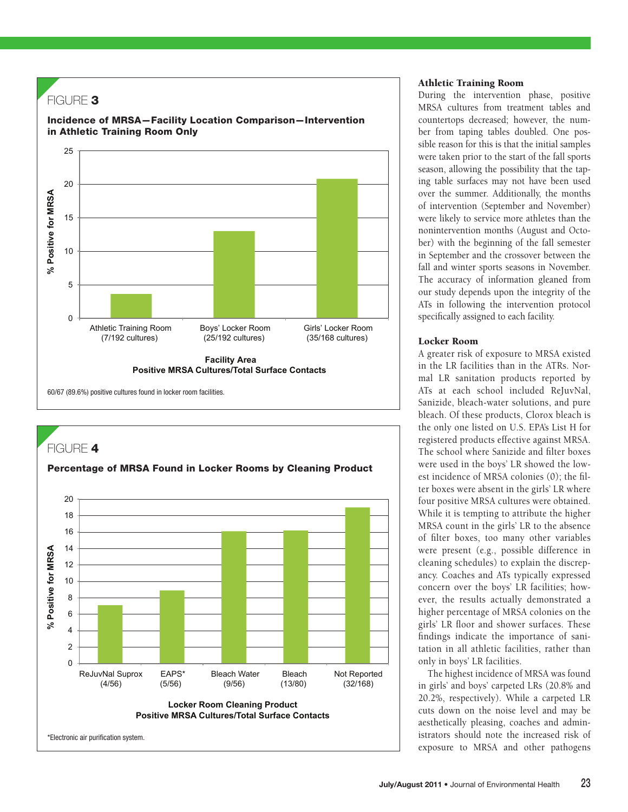



#### Athletic Training Room

During the intervention phase, positive MRSA cultures from treatment tables and countertops decreased; however, the number from taping tables doubled. One possible reason for this is that the initial samples were taken prior to the start of the fall sports season, allowing the possibility that the taping table surfaces may not have been used over the summer. Additionally, the months of intervention (September and November) were likely to service more athletes than the nonintervention months (August and October) with the beginning of the fall semester in September and the crossover between the fall and winter sports seasons in November. The accuracy of information gleaned from our study depends upon the integrity of the ATs in following the intervention protocol specifically assigned to each facility.

#### Locker Room

A greater risk of exposure to MRSA existed in the LR facilities than in the ATRs. Normal LR sanitation products reported by ATs at each school included ReJuvNal, Sanizide, bleach-water solutions, and pure bleach. Of these products, Clorox bleach is the only one listed on U.S. EPA's List H for registered products effective against MRSA. The school where Sanizide and filter boxes were used in the boys' LR showed the lowest incidence of MRSA colonies (0); the filter boxes were absent in the girls' LR where four positive MRSA cultures were obtained. While it is tempting to attribute the higher MRSA count in the girls' LR to the absence of filter boxes, too many other variables were present (e.g., possible difference in cleaning schedules) to explain the discrepancy. Coaches and ATs typically expressed concern over the boys' LR facilities; however, the results actually demonstrated a higher percentage of MRSA colonies on the girls' LR floor and shower surfaces. These findings indicate the importance of sanitation in all athletic facilities, rather than only in boys' LR facilities.

The highest incidence of MRSA was found in girls' and boys' carpeted LRs (20.8% and 20.2%, respectively). While a carpeted LR cuts down on the noise level and may be aesthetically pleasing, coaches and administrators should note the increased risk of exposure to MRSA and other pathogens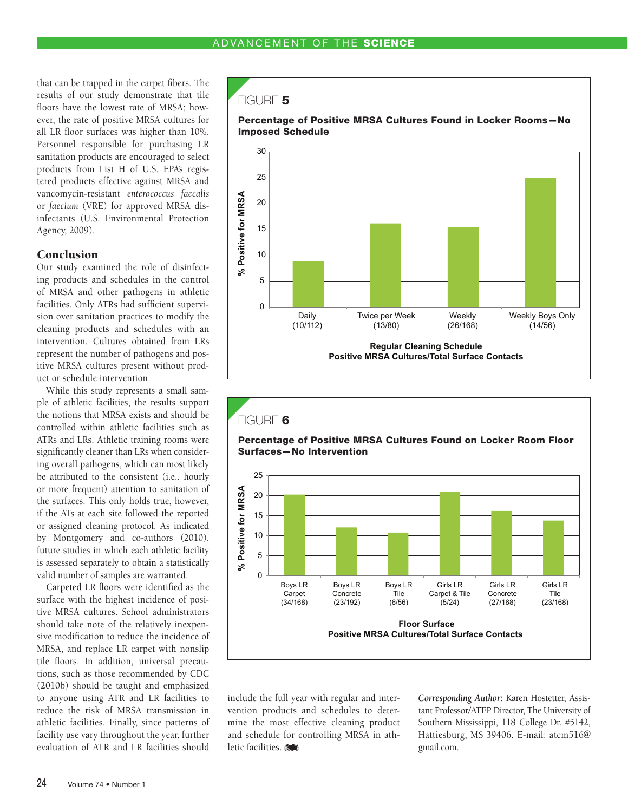that can be trapped in the carpet fibers. The results of our study demonstrate that tile floors have the lowest rate of MRSA; however, the rate of positive MRSA cultures for all LR floor surfaces was higher than 10%. Personnel responsible for purchasing LR sanitation products are encouraged to select products from List H of U.S. EPA's registered products effective against MRSA and vancomycin-resistant *enterococcus faecalis* or *faecium* (VRE) for approved MRSA disinfectants (U.S. Environmental Protection Agency, 2009).

### **Conclusion**

Our study examined the role of disinfecting products and schedules in the control of MRSA and other pathogens in athletic facilities. Only ATRs had sufficient supervision over sanitation practices to modify the cleaning products and schedules with an intervention. Cultures obtained from LRs represent the number of pathogens and positive MRSA cultures present without product or schedule intervention.

While this study represents a small sample of athletic facilities, the results support the notions that MRSA exists and should be controlled within athletic facilities such as ATRs and LRs. Athletic training rooms were significantly cleaner than LRs when considering overall pathogens, which can most likely be attributed to the consistent (i.e., hourly or more frequent) attention to sanitation of the surfaces. This only holds true, however, if the ATs at each site followed the reported or assigned cleaning protocol. As indicated by Montgomery and co-authors (2010), future studies in which each athletic facility is assessed separately to obtain a statistically valid number of samples are warranted.

Carpeted LR floors were identified as the surface with the highest incidence of positive MRSA cultures. School administrators should take note of the relatively inexpensive modification to reduce the incidence of MRSA, and replace LR carpet with nonslip tile floors. In addition, universal precautions, such as those recommended by CDC (2010b) should be taught and emphasized to anyone using ATR and LR facilities to reduce the risk of MRSA transmission in athletic facilities. Finally, since patterns of facility use vary throughout the year, further evaluation of ATR and LR facilities should

### $F$ IGURE 5







include the full year with regular and intervention products and schedules to determine the most effective cleaning product and schedule for controlling MRSA in athletic facilities.

*Corresponding Author***:** Karen Hostetter, Assistant Professor/ATEP Director, The University of Southern Mississippi, 118 College Dr. #5142, Hattiesburg, MS 39406. E-mail: atcm516@ gmail.com.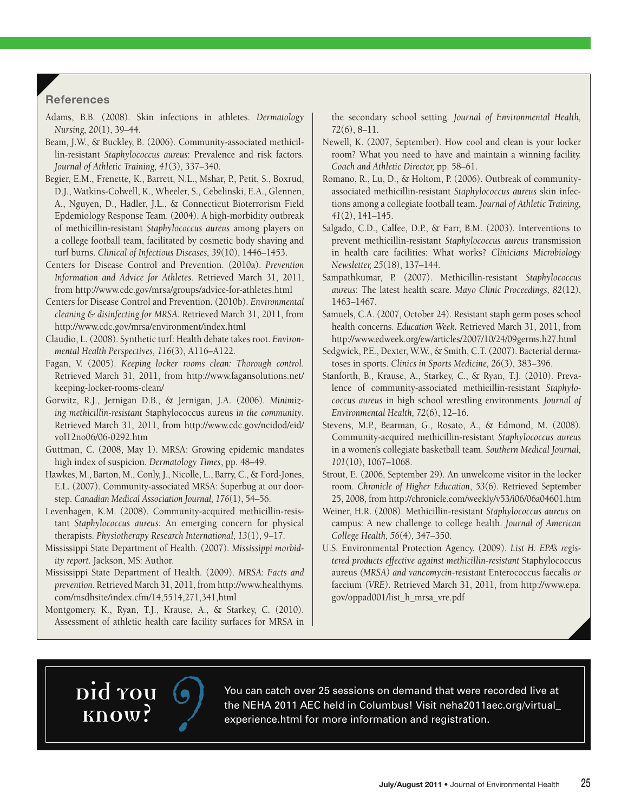# **References**

- Adams, B.B. (2008). Skin infections in athletes. *Dermatology Nursing, 20*(1), 39–44.
- Beam, J.W., & Buckley, B. (2006). Community-associated methicillin-resistant *Staphylococcus aureus*: Prevalence and risk factors. *Journal of Athletic Training, 41*(3), 337–340.
- Begier, E.M., Frenette, K., Barrett, N.L., Mshar, P., Petit, S., Boxrud, D.J., Watkins-Colwell, K., Wheeler, S., Cebelinski, E.A., Glennen, A., Nguyen, D., Hadler, J.L., & Connecticut Bioterrorism Field Epdemiology Response Team. (2004). A high-morbidity outbreak of methicillin-resistant *Staphylococcus aureus* among players on a college football team, facilitated by cosmetic body shaving and turf burns. *Clinical of Infectious Diseases, 39* (10), 1446–1453.
- Centers for Disease Control and Prevention. (2010a). *Prevention Information and Advice for Athletes.* Retrieved March 31, 2011, from http://www.cdc.gov/mrsa/groups/advice-for-athletes.html
- Centers for Disease Control and Prevention. (2010b). *Environmental cleaning & disinfecting for MRSA.* Retrieved March 31, 2011, from http://www.cdc.gov/mrsa/environment/index.html
- Claudio, L. (2008). Synthetic turf: Health debate takes root. *Environ*mental Health Perspectives, 116(3), A116–A122.
- Fagan, V. (2005). *Keeping locker rooms clean: Thorough control*. Retrieved March 31, 2011, from http://www.fagansolutions.net/ keeping-locker-rooms-clean/
- Gorwitz, R.J., Jernigan D.B., & Jernigan, J.A. (2006). *Minimizing methicillin-resistant* Staphylococcus aureus *in the community*. Retrieved March 31, 2011, from http://www.cdc.gov/ncidod/eid/ vol12no06/06-0292.htm
- Guttman, C. (2008, May 1). MRSA: Growing epidemic mandates high index of suspicion. *Dermatology Times*, pp. 48–49.
- Hawkes, M., Barton, M., Conly, J., Nicolle, L., Barry, C., & Ford-Jones, E.L. (2007). Community-associated MRSA: Superbug at our doorstep. *Canadian Medical Association Journal*, 176(1), 54–56.
- Levenhagen, K.M. (2008). Community-acquired methicillin-resistant *Staphylococcus aureus:* An emerging concern for physical therapists. *Physiotherapy Research International, 13*(1), 9–17.
- Mississippi State Department of Health. (2007). *Mississippi morbidity report.* Jackson, MS: Author.
- Mississippi State Department of Health. (2009). *MRSA: Facts and prevention.* Retrieved March 31, 2011, from http://www.healthyms. com/msdhsite/index.cfm/14,5514,271,341,html
- Montgomery, K., Ryan, T.J., Krause, A., & Starkey, C. (2010). Assessment of athletic health care facility surfaces for MRSA in

the secondary school setting. *Journal of Environmental Health, 72*(6), 8–11.

- Newell, K. (2007, September). How cool and clean is your locker room? What you need to have and maintain a winning facility. *Coach and Athletic Director,* pp. 58–61.
- Romano, R., Lu, D., & Holtom, P. (2006). Outbreak of communityassociated methicillin-resistant *Staphylococcus aureus* skin infections among a collegiate football team. *Journal of Athletic Training, 41*(2), 141–145.
- Salgado, C.D., Calfee, D.P., & Farr, B.M. (2003). Interventions to prevent methicillin-resistant *Staphylococcus aureus* transmission in health care facilities: What works? *Clinicians Microbiology Newsletter, 25*(18), 137–144.
- Sampathkumar, P. (2007). Methicillin-resistant *Staphylococcus aureus*: The latest health scare. *Mayo Clinic Proceedings, 82*(12), 1463–1467.
- Samuels, C.A. (2007, October 24). Resistant staph germ poses school health concerns. *Education Week.* Retrieved March 31, 2011, from http://www.edweek.org/ew/articles/2007/10/24/09germs.h27.html
- Sedgwick, P.E., Dexter, W.W., & Smith, C.T. (2007). Bacterial dermatoses in sports. *Clinics in Sports Medicine, 26* (3), 383–396.
- Stanforth, B., Krause, A., Starkey, C., & Ryan, T.J. (2010). Prevalence of community-associated methicillin-resistant *Staphylococcus aureus* in high school wrestling environments. *Journal of Environmental Health, 72*(6), 12–16.
- Stevens, M.P., Bearman, G., Rosato, A., & Edmond, M. (2008). Community-acquired methicillin-resistant *Staphylococcus aureus* in a women's collegiate basketball team. *Southern Medical Journal, 101*(10), 1067–1068.
- Strout, E. (2006, September 29). An unwelcome visitor in the locker room. *Chronicle of Higher Education*, *53*(6). Retrieved September 25, 2008, from http://chronicle.com/weekly/v53/i06/06a04601.htm
- Weiner, H.R. (2008). Methicillin-resistant *Staphylococcus aureus* on campus: A new challenge to college health. *Journal of American College Health, 56* (4), 347–350.
- U.S. Environmental Protection Agency. (2009). *List H: EPA's registered products effective against methicillin-resistant* Staphylococcus aureus *(MRSA) and vancomycin-resistant* Enterococcus faecalis *or* faecium *(VRE)*. Retrieved March 31, 2011, from http://www.epa. gov/oppad001/list\_h\_mrsa\_vre.pdf



You can catch over 25 sessions on demand that were recorded live at<br>the NEHA 2011 AEC held in Columbus! Visit neha2011aec.org/virtual\_<br>experience.html for more information and registration. the NEHA 2011 AEC held in Columbus! Visit neha2011aec.org/virtual\_ experience.html for more information and registration.